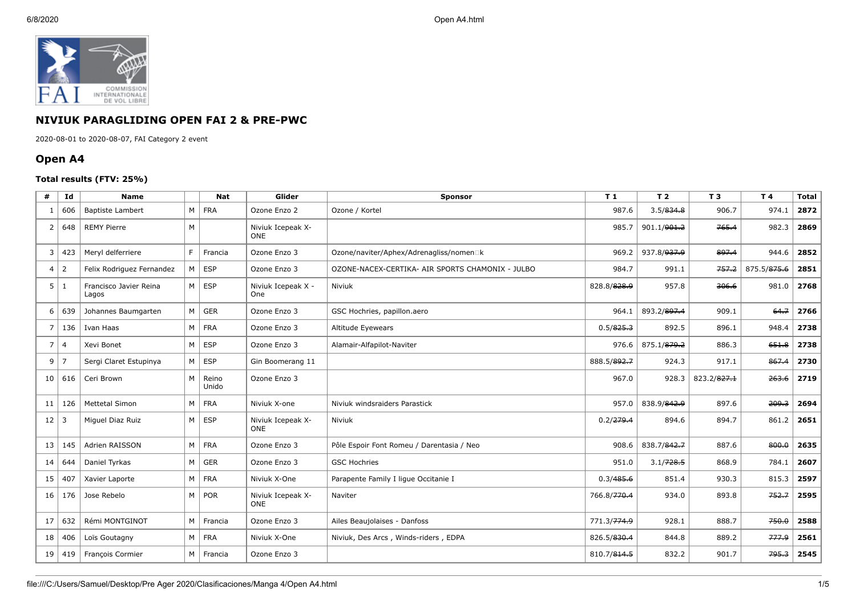

## **NIVIUK PARAGLIDING OPEN FAI 2 & PRE-PWC**

2020-08-01 to 2020-08-07, FAI Category 2 event

## **Open A4**

## **Total results (FTV: 25%)**

| #              | Id             | <b>Name</b>                     |                | <b>Nat</b>     | Glider                           | <b>Sponsor</b>                                   | T1                      | T <sub>2</sub>          | T 3         | T 4         | Total |
|----------------|----------------|---------------------------------|----------------|----------------|----------------------------------|--------------------------------------------------|-------------------------|-------------------------|-------------|-------------|-------|
| -1             | 606            | <b>Baptiste Lambert</b>         |                | $M$   FRA      | Ozone Enzo 2                     | Ozone / Kortel                                   | 987.6                   | 3.5/834.8               | 906.7       | 974.1       | 2872  |
| $\overline{2}$ | 648            | <b>REMY Pierre</b>              | M              |                | Niviuk Icepeak X-<br><b>ONE</b>  |                                                  | 985.7                   | 901.1/ <del>901.2</del> | 765.4       | 982.3       | 2869  |
| 3              | 423            | Meryl delferriere               | F.             | Francia        | Ozone Enzo 3                     | Ozone/naviter/Aphex/Adrenagliss/nomen□k          | 969.2                   | 937.8/ <del>937.9</del> | 897.4       | 944.6       | 2852  |
| 4              | $\overline{2}$ | Felix Rodriguez Fernandez       |                | $M \mid ESP$   | Ozone Enzo 3                     | OZONE-NACEX-CERTIKA- AIR SPORTS CHAMONIX - JULBO | 984.7                   | 991.1                   | 757.2       | 875.5/875.6 | 2851  |
| 5              | 1              | Francisco Javier Reina<br>Lagos |                | $M \vert$ ESP  | Niviuk Icepeak X -<br><b>One</b> | Niviuk                                           | 828.8/828.9             | 957.8                   | 306.6       | 981.0       | 2768  |
| 6              | 639            | Johannes Baumgarten             |                | $M \vert$ GER  | Ozone Enzo 3                     | GSC Hochries, papillon.aero                      | 964.1                   | 893.2/897.4             | 909.1       | 64.7        | 2766  |
| $\overline{7}$ | 136            | Ivan Haas                       |                | $M$ FRA        | Ozone Enzo 3                     | Altitude Eyewears                                | 0.5/825.3               | 892.5                   | 896.1       | 948.4       | 2738  |
| 7              | $\overline{4}$ | Xevi Bonet                      | M              | <b>ESP</b>     | Ozone Enzo 3                     | Alamair-Alfapilot-Naviter                        | 976.6                   | 875.1/879.2             | 886.3       | 651.8       | 2738  |
| 9              | $\overline{7}$ | Sergi Claret Estupinya          | $M \mid$       | ESP            | Gin Boomerang 11                 |                                                  | 888.5/892.7             | 924.3                   | 917.1       | 867.4       | 2730  |
| 10             | 616            | Ceri Brown                      | M <sub>1</sub> | Reino<br>Unido | Ozone Enzo 3                     |                                                  | 967.0                   | 928.3                   | 823.2/827.1 | 263.6       | 2719  |
| 11             | 126            | <b>Mettetal Simon</b>           |                | $M$ FRA        | Niviuk X-one                     | Niviuk windsraiders Parastick                    | 957.0                   | 838.9/842.9             | 897.6       | 209.3       | 2694  |
| 12             | $\overline{3}$ | Miquel Diaz Ruiz                |                | $M \vert$ ESP  | Niviuk Icepeak X-<br>ONE         | Niviuk                                           | 0.2/279.4               | 894.6                   | 894.7       | 861.2       | 2651  |
| 13             | 145            | Adrien RAISSON                  |                | $M$ FRA        | Ozone Enzo 3                     | Pôle Espoir Font Romeu / Darentasia / Neo        | 908.6                   | 838.7/842.7             | 887.6       | 800.0       | 2635  |
| 14             | 644            | Daniel Tyrkas                   |                | $M \vert$ GER  | Ozone Enzo 3                     | <b>GSC Hochries</b>                              | 951.0                   | 3.1/728.5               | 868.9       | 784.1       | 2607  |
| 15             | 407            | Xavier Laporte                  |                | $M$ FRA        | Niviuk X-One                     | Parapente Family I lique Occitanie I             | 0.3/485.6               | 851.4                   | 930.3       | 815.3       | 2597  |
| 16             | 176            | Jose Rebelo                     |                | $M \vert POR$  | Niviuk Icepeak X-<br><b>ONE</b>  | Naviter                                          | 766.8/770.4             | 934.0                   | 893.8       | 752.7       | 2595  |
| 17             | 632            | Rémi MONTGINOT                  |                | M   Francia    | Ozone Enzo 3                     | Ailes Beaujolaises - Danfoss                     | 771.3/ <del>774.9</del> | 928.1                   | 888.7       | 750.0       | 2588  |
| 18             | 406            | Loïs Goutagny                   |                | $M$   FRA      | Niviuk X-One                     | Niviuk, Des Arcs, Winds-riders, EDPA             | 826.5/830.4             | 844.8                   | 889.2       | 777.9       | 2561  |
| 19             | 419            | François Cormier                |                | M   Francia    | Ozone Enzo 3                     |                                                  | 810.7/814.5             | 832.2                   | 901.7       | 795.3       | 2545  |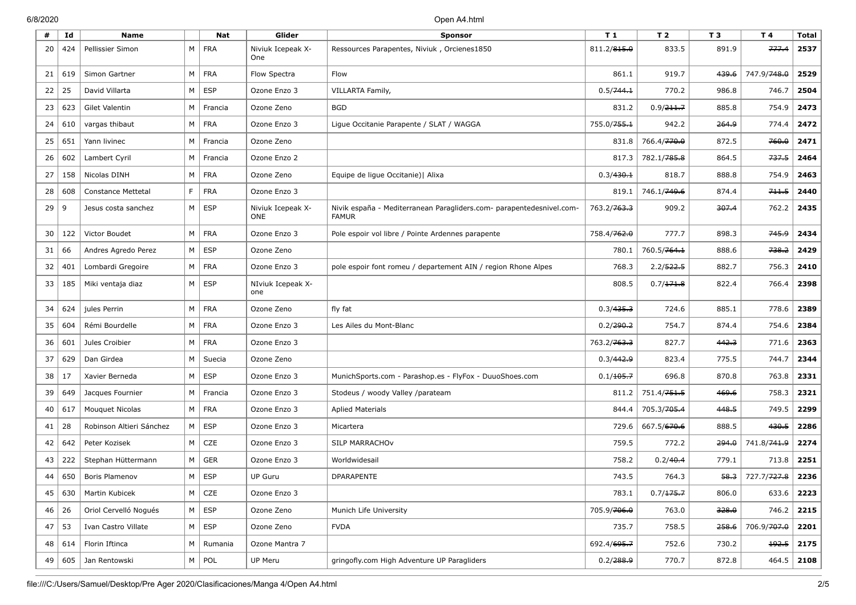## 6/8/2020 Open A4.html

| #  | Id  | <b>Name</b>               |                | Nat           | Glider                   | Sponsor                                                                              | T <sub>1</sub>          | T <sub>2</sub>          | T <sub>3</sub> | T 4                     | <b>Total</b> |
|----|-----|---------------------------|----------------|---------------|--------------------------|--------------------------------------------------------------------------------------|-------------------------|-------------------------|----------------|-------------------------|--------------|
| 20 | 424 | Pellissier Simon          |                | M   FRA       | Niviuk Icepeak X-<br>One | Ressources Parapentes, Niviuk, Orcienes1850                                          | 811.2/815.0             | 833.5                   | 891.9          | 777.4                   | 2537         |
| 21 | 619 | Simon Gartner             | $M \mid$       | FRA           | Flow Spectra             | Flow                                                                                 | 861.1                   | 919.7                   | 439.6          | 747.9/748.0             | 2529         |
| 22 | 25  | David Villarta            | M <sub>1</sub> | <b>ESP</b>    | Ozone Enzo 3             | VILLARTA Family,                                                                     | 0.5/744.1               | 770.2                   | 986.8          | 746.7                   | 2504         |
| 23 | 623 | Gilet Valentin            | M              | Francia       | Ozone Zeno               | <b>BGD</b>                                                                           | 831.2                   | 0.9/211.7               | 885.8          | 754.9                   | 2473         |
| 24 | 610 | vargas thibaut            | M              | FRA           | Ozone Enzo 3             | Ligue Occitanie Parapente / SLAT / WAGGA                                             | 755.0/ <del>755.1</del> | 942.2                   | 264.9          | 774.4                   | 2472         |
| 25 | 651 | Yann livinec              | M              | Francia       | Ozone Zeno               |                                                                                      | 831.8                   | 766.4/ <del>770.0</del> | 872.5          | 760.0                   | 2471         |
| 26 | 602 | Lambert Cyril             | M <sub>1</sub> | Francia       | Ozone Enzo 2             |                                                                                      | 817.3                   | 782.1/ <del>785.8</del> | 864.5          | 737.5                   | 2464         |
| 27 | 158 | Nicolas DINH              | M <sub>1</sub> | <b>FRA</b>    | Ozone Zeno               | Equipe de lique Occitanie)   Alixa                                                   | 0.3/430.1               | 818.7                   | 888.8          | 754.9                   | 2463         |
| 28 | 608 | <b>Constance Mettetal</b> | F.             | FRA           | Ozone Enzo 3             |                                                                                      | 819.1                   | 746.1/ <del>749.6</del> | 874.4          | 711.5                   | 2440         |
| 29 | 9   | Jesus costa sanchez       |                | $M \mid ESP$  | Niviuk Icepeak X-<br>ONE | Nivik españa - Mediterranean Paragliders.com- parapentedesnivel.com-<br><b>FAMUR</b> | 763.2/ <del>763.3</del> | 909.2                   | 307.4          | 762.2                   | 2435         |
| 30 | 122 | Victor Boudet             | $M \mid$       | <b>FRA</b>    | Ozone Enzo 3             | Pole espoir vol libre / Pointe Ardennes parapente                                    | 758.4/ <del>762.0</del> | 777.7                   | 898.3          | 745.9                   | 2434         |
| 31 | 66  | Andres Agredo Perez       | M              | ESP           | Ozone Zeno               |                                                                                      | 780.1                   | 760.5/764.1             | 888.6          | 738.2                   | 2429         |
| 32 | 401 | Lombardi Gregoire         |                | $M$   FRA     | Ozone Enzo 3             | pole espoir font romeu / departement AIN / region Rhone Alpes                        | 768.3                   | 2.2/522.5               | 882.7          | 756.3                   | 2410         |
| 33 | 185 | Miki ventaja diaz         |                | $M \vert$ ESP | NIviuk Icepeak X-<br>one |                                                                                      | 808.5                   | 0.7/171.8               | 822.4          | 766.4                   | 2398         |
| 34 | 624 | jules Perrin              | M <sub>1</sub> | <b>FRA</b>    | Ozone Zeno               | fly fat                                                                              | 0.3/435.3               | 724.6                   | 885.1          | 778.6                   | 2389         |
| 35 | 604 | Rémi Bourdelle            | M              | <b>FRA</b>    | Ozone Enzo 3             | Les Ailes du Mont-Blanc                                                              | 0.2/290.2               | 754.7                   | 874.4          | 754.6                   | 2384         |
| 36 | 601 | Jules Croibier            | M <sub>1</sub> | <b>FRA</b>    | Ozone Enzo 3             |                                                                                      | 763.2/ <del>763.3</del> | 827.7                   | 442.3          | 771.6                   | 2363         |
| 37 | 629 | Dan Girdea                | M              | Suecia        | Ozone Zeno               |                                                                                      | 0.3/442.9               | 823.4                   | 775.5          | 744.7                   | 2344         |
| 38 | 17  | Xavier Berneda            | M <sub>1</sub> | <b>ESP</b>    | Ozone Enzo 3             | MunichSports.com - Parashop.es - FlyFox - DuuoShoes.com                              | 0.1/105.7               | 696.8                   | 870.8          | 763.8                   | 2331         |
| 39 | 649 | Jacques Fournier          | M              | Francia       | Ozone Enzo 3             | Stodeus / woody Valley /parateam                                                     | 811.2                   | 751.4/ <del>751.5</del> | 469.6          | 758.3                   | 2321         |
| 40 | 617 | Mouquet Nicolas           | M              | FRA           | Ozone Enzo 3             | <b>Aplied Materials</b>                                                              | 844.4                   | 705.3/705.4             | 448.5          | 749.5                   | 2299         |
| 41 | 28  | Robinson Altieri Sánchez  |                | $M \vert$ ESP | Ozone Enzo 3             | Micartera                                                                            | 729.6                   | 667.5/670.6             | 888.5          | 430.5                   | 2286         |
| 42 | 642 | Peter Kozisek             | M              | CZE           | Ozone Enzo 3             | SILP MARRACHOV                                                                       | 759.5                   | 772.2                   | 294.0          | 741.8/741.9             | 2274         |
| 43 | 222 | Stephan Hüttermann        | M              | <b>GER</b>    | Ozone Enzo 3             | Worldwidesail                                                                        | 758.2                   | 0.2/40.4                | 779.1          | 713.8                   | 2251         |
| 44 | 650 | Boris Plamenov            | M              | <b>ESP</b>    | <b>UP Guru</b>           | <b>DPARAPENTE</b>                                                                    | 743.5                   | 764.3                   | 58.3           | 727.7/ <del>727.8</del> | 2236         |
| 45 | 630 | Martin Kubicek            |                | $M \vert CZE$ | Ozone Enzo 3             |                                                                                      | 783.1                   | 0.7/175.7               | 806.0          | 633.6                   | 2223         |
| 46 | 26  | Oriol Cervelló Nogués     |                | $M \vert ESP$ | Ozone Zeno               | Munich Life University                                                               | 705.9/ <del>706.0</del> | 763.0                   | 328.0          | 746.2                   | 2215         |
| 47 | 53  | Ivan Castro Villate       |                | $M \vert$ ESP | Ozone Zeno               | <b>FVDA</b>                                                                          | 735.7                   | 758.5                   | 258.6          | 706.9/ <del>707.0</del> | 2201         |
| 48 | 614 | Florin Iftinca            | M              | Rumania       | Ozone Mantra 7           |                                                                                      | 692.4/695.7             | 752.6                   | 730.2          | 192.5                   | 2175         |
| 49 | 605 | Jan Rentowski             |                | $M \vert POL$ | UP Meru                  | gringofly.com High Adventure UP Paragliders                                          | 0.2/288.9               | 770.7                   | 872.8          | 464.5                   | 2108         |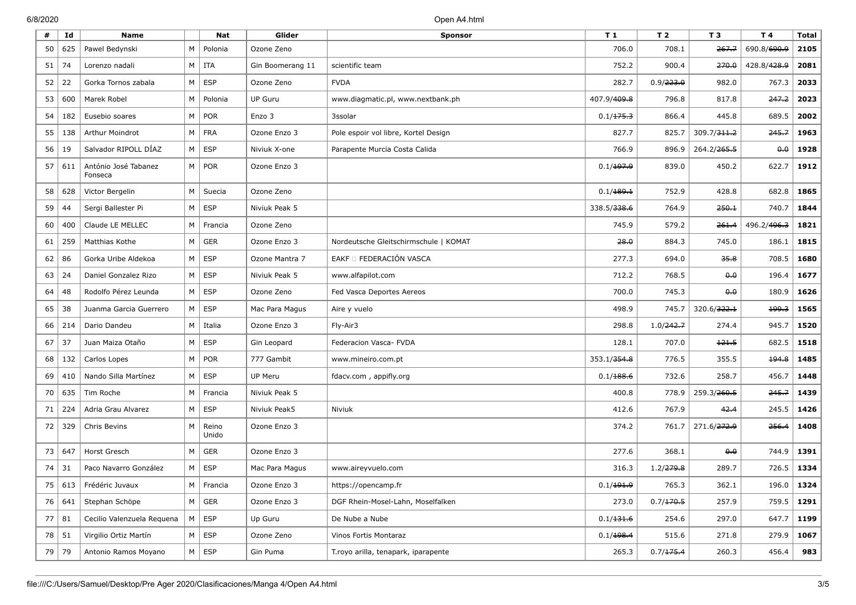| #  | Id      | <b>Name</b>                     |                | <b>Nat</b>     | Glider           | <b>Sponsor</b>                        | T <sub>1</sub>          | T 2       | T 3                     | T 4                     | <b>Total</b> |
|----|---------|---------------------------------|----------------|----------------|------------------|---------------------------------------|-------------------------|-----------|-------------------------|-------------------------|--------------|
| 50 | 625     | Pawel Bedynski                  | M              | Polonia        | Ozone Zeno       |                                       | 706.0                   | 708.1     | 267.7                   | 690.8/690.9             | 2105         |
| 51 | 74      | Lorenzo nadali                  |                | $M$   ITA      | Gin Boomerang 11 | scientific team                       | 752.2                   | 900.4     | 270.0                   | 428.8/428.9             | 2081         |
| 52 | 22      | Gorka Tornos zabala             | M              | <b>ESP</b>     | Ozone Zeno       | <b>FVDA</b>                           | 282.7                   | 0.9/223.0 | 982.0                   | 767.3                   | 2033         |
| 53 | 600     | Marek Robel                     | M <sub>1</sub> | Polonia        | <b>UP Guru</b>   | www.diagmatic.pl, www.nextbank.ph     | 407.9/ <del>409.8</del> | 796.8     | 817.8                   | 247.2                   | 2023         |
| 54 | 182     | Eusebio soares                  | M <sub>1</sub> | <b>POR</b>     | Enzo 3           | 3ssolar                               | 0.1/175.3               | 866.4     | 445.8                   | 689.5                   | 2002         |
| 55 | 138     | Arthur Moindrot                 |                | $M$   FRA      | Ozone Enzo 3     | Pole espoir vol libre, Kortel Design  | 827.7                   | 825.7     | 309.7/ <del>311.2</del> | 245.7                   | 1963         |
| 56 | 19      | Salvador RIPOLL DÍAZ            | $M \mid$       | ESP            | Niviuk X-one     | Parapente Murcia Costa Calida         | 766.9                   | 896.9     | 264.2/ <del>265.5</del> | $\theta$ . $\theta$     | 1928         |
| 57 | 611     | António José Tabanez<br>Fonseca |                | $M \mid POR$   | Ozone Enzo 3     |                                       | 0.1/197.9               | 839.0     | 450.2                   | 622.7                   | 1912         |
| 58 | 628     | Victor Bergelin                 | M              | Suecia         | Ozone Zeno       |                                       | 0.1/189.1               | 752.9     | 428.8                   | 682.8                   | 1865         |
| 59 | 44      | Sergi Ballester Pi              |                | $M \vert$ ESP  | Niviuk Peak 5    |                                       | 338.5/ <del>338.6</del> | 764.9     | 250.1                   | 740.7                   | 1844         |
| 60 | 400     | Claude LE MELLEC                | $M \mid$       | Francia        | Ozone Zeno       |                                       | 745.9                   | 579.2     | 261.4                   | 496.2/ <del>496.3</del> | 1821         |
| 61 | 259     | Matthias Kothe                  | M              | GER            | Ozone Enzo 3     | Nordeutsche Gleitschirmschule   KOMAT | 28.0                    | 884.3     | 745.0                   | 186.1                   | 1815         |
| 62 | 86      | Gorka Uribe Aldekoa             | M <sub>1</sub> | <b>ESP</b>     | Ozone Mantra 7   | EAKF O FEDERACIÓN VASCA               | 277.3                   | 694.0     | 35.8                    | 708.5                   | 1680         |
| 63 | 24      | Daniel Gonzalez Rizo            |                | $M \vert$ ESP  | Niviuk Peak 5    | www.alfapilot.com                     | 712.2                   | 768.5     | $\theta$ . $\theta$     | 196.4                   | 1677         |
| 64 | 48      | Rodolfo Pérez Leunda            |                | $M \vert$ ESP  | Ozone Zeno       | Fed Vasca Deportes Aereos             | 700.0                   | 745.3     | $\theta$ . $\theta$     | 180.9                   | 1626         |
| 65 | 38      | Juanma Garcia Guerrero          |                | $M \vert$ ESP  | Mac Para Magus   | Aire y vuelo                          | 498.9                   | 745.7     | 320.6/ <del>322.1</del> | 199.3                   | 1565         |
| 66 | 214     | Dario Dandeu                    | M              | Italia         | Ozone Enzo 3     | Fly-Air3                              | 298.8                   | 1.0/242.7 | 274.4                   | 945.7                   | 1520         |
| 67 | 37      | Juan Maiza Otaño                |                | $M \vert$ ESP  | Gin Leopard      | Federacion Vasca- FVDA                | 128.1                   | 707.0     | 121.5                   | 682.5                   | 1518         |
| 68 | 132     | Carlos Lopes                    |                | $M \vert POR$  | 777 Gambit       | www.mineiro.com.pt                    | 353.1/ <del>354.8</del> | 776.5     | 355.5                   | 194.8                   | 1485         |
| 69 | 410     | Nando Silla Martínez            |                | $M \vert$ ESP  | UP Meru          | fdacv.com, appifly.org                | 0.1/188.6               | 732.6     | 258.7                   | 456.7                   | 1448         |
| 70 | 635     | Tim Roche                       | M              | Francia        | Niviuk Peak 5    |                                       | 400.8                   | 778.9     | 259.3/260.5             | 245.7                   | 1439         |
| 71 | 224     | Adria Grau Alvarez              |                | $M \vert$ ESP  | Niviuk Peak5     | Niviuk                                | 412.6                   | 767.9     | 42.4                    | 245.5                   | 1426         |
| 72 | 329     | Chris Bevins                    | M              | Reino<br>Unido | Ozone Enzo 3     |                                       | 374.2                   | 761.7     | 271.6/272.9             | 256.4                   | 1408         |
| 73 | 647     | Horst Gresch                    | M              | <b>GER</b>     | Ozone Enzo 3     |                                       | 277.6                   | 368.1     | 0.0                     | 744.9                   | 1391         |
| 74 | 31      | Paco Navarro González           | M <sub>1</sub> | ESP            | Mac Para Magus   | www.aireyvuelo.com                    | 316.3                   | 1.2/279.8 | 289.7                   | 726.5                   | 1334         |
| 75 |         | 613 Frédéric Juvaux             |                | M Francia      | Ozone Enzo 3     | https://opencamp.fr                   | 0.1/191.9               | 765.3     | 362.1                   |                         | $196.0$ 1324 |
|    | 76 641  | Stephan Schöpe                  |                | $M \vert$ GER  | Ozone Enzo 3     | DGF Rhein-Mosel-Lahn, Moselfalken     | 273.0                   | 0.7/170.5 | 257.9                   | 759.5                   | 1291         |
|    | 77   81 | Cecilio Valenzuela Requena      |                | $M \vert$ ESP  | Up Guru          | De Nube a Nube                        | 0.1/131.6               | 254.6     | 297.0                   | 647.7                   | 1199         |
| 78 | 51      | Virgilio Ortiz Martín           |                | $M \vert$ ESP  | Ozone Zeno       | Vinos Fortis Montaraz                 | 0.1/198.4               | 515.6     | 271.8                   | 279.9                   | 1067         |
|    | 79 79   | Antonio Ramos Moyano            |                | $M \vert$ ESP  | Gin Puma         | T.royo arilla, tenapark, iparapente   | 265.3                   | 0.7/175.4 | 260.3                   | 456.4                   | 983          |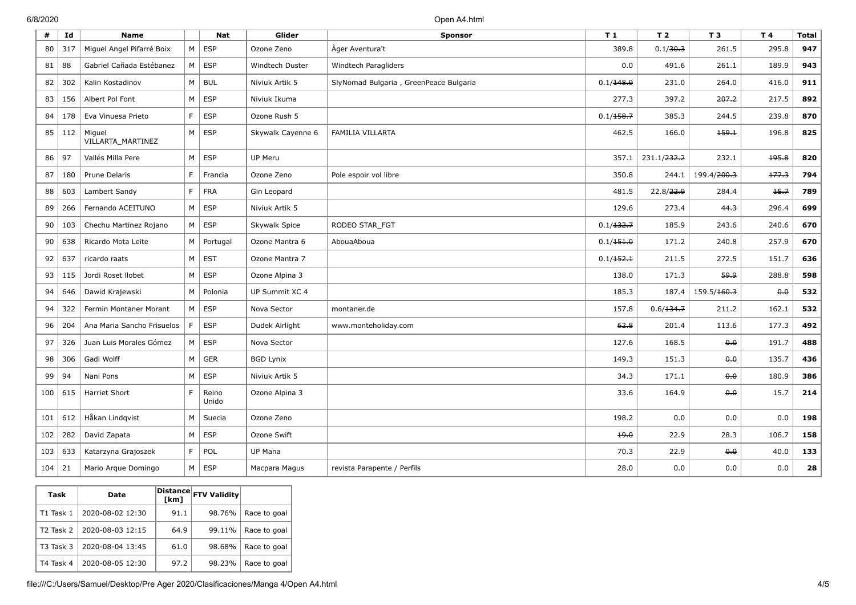6/8/2020 Open A4.html

| #   | Id  | <b>Name</b>                 |                | <b>Nat</b>     | Glider            | <b>Sponsor</b>                         | T1        | T <sub>2</sub>          | T 3                     | T 4                 | <b>Total</b> |
|-----|-----|-----------------------------|----------------|----------------|-------------------|----------------------------------------|-----------|-------------------------|-------------------------|---------------------|--------------|
| 80  | 317 | Miguel Angel Pifarré Boix   | M I            | <b>ESP</b>     | Ozone Zeno        | Ager Aventura't                        | 389.8     | 0.1/30.3                | 261.5                   | 295.8               | 947          |
| 81  | 88  | Gabriel Cañada Estébanez    | M <sub>1</sub> | ESP            | Windtech Duster   | Windtech Paragliders                   | 0.0       | 491.6                   | 261.1                   | 189.9               | 943          |
| 82  | 302 | Kalin Kostadinov            | M              | <b>BUL</b>     | Niviuk Artik 5    | SlyNomad Bulgaria, GreenPeace Bulgaria | 0.1/148.9 | 231.0                   | 264.0                   | 416.0               | 911          |
| 83  | 156 | Albert Pol Font             | M              | ESP            | Niviuk Ikuma      |                                        | 277.3     | 397.2                   | 207.2                   | 217.5               | 892          |
| 84  | 178 | Eva Vinuesa Prieto          | F.             | ESP            | Ozone Rush 5      |                                        | 0.1/158.7 | 385.3                   | 244.5                   | 239.8               | 870          |
| 85  | 112 | Miguel<br>VILLARTA_MARTINEZ | M              | <b>ESP</b>     | Skywalk Cayenne 6 | FAMILIA VILLARTA                       | 462.5     | 166.0                   | 159.1                   | 196.8               | 825          |
| 86  | 97  | Vallés Milla Pere           | M              | ESP            | UP Meru           |                                        | 357.1     | 231.1/ <del>232.2</del> | 232.1                   | 195.8               | 820          |
| 87  | 180 | Prune Delaris               | F.             | Francia        | Ozone Zeno        | Pole espoir vol libre                  | 350.8     | 244.1                   | 199.4/ <del>200.3</del> | 177.3               | 794          |
| 88  | 603 | Lambert Sandy               | F.             | <b>FRA</b>     | Gin Leopard       |                                        | 481.5     | 22.8/22.9               | 284.4                   | 15.7                | 789          |
| 89  | 266 | Fernando ACEITUNO           | M              | <b>ESP</b>     | Niviuk Artik 5    |                                        | 129.6     | 273.4                   | 44.3                    | 296.4               | 699          |
| 90  | 103 | Chechu Martinez Rojano      | M <sub>1</sub> | <b>ESP</b>     | Skywalk Spice     | RODEO STAR FGT                         | 0.1/132.7 | 185.9                   | 243.6                   | 240.6               | 670          |
| 90  | 638 | Ricardo Mota Leite          |                | $M$ Portugal   | Ozone Mantra 6    | AbouaAboua                             | 0.1/151.0 | 171.2                   | 240.8                   | 257.9               | 670          |
| 92  | 637 | ricardo raats               | M              | <b>EST</b>     | Ozone Mantra 7    |                                        | 0.1/152.1 | 211.5                   | 272.5                   | 151.7               | 636          |
| 93  | 115 | Jordi Roset Ilobet          | M              | ESP            | Ozone Alpina 3    |                                        | 138.0     | 171.3                   | وبوو                    | 288.8               | 598          |
| 94  | 646 | Dawid Krajewski             | M              | Polonia        | UP Summit XC 4    |                                        | 185.3     | 187.4                   | 159.5/ <del>160.3</del> | $\theta$ . $\theta$ | 532          |
| 94  | 322 | Fermin Montaner Morant      | M              | <b>ESP</b>     | Nova Sector       | montaner.de                            | 157.8     | 0.6/134.7               | 211.2                   | 162.1               | 532          |
| 96  | 204 | Ana Maria Sancho Frisuelos  | F.             | <b>ESP</b>     | Dudek Airlight    | www.monteholiday.com                   | 62.8      | 201.4                   | 113.6                   | 177.3               | 492          |
| 97  | 326 | Juan Luis Morales Gómez     | M I            | <b>ESP</b>     | Nova Sector       |                                        | 127.6     | 168.5                   | 0.0                     | 191.7               | 488          |
| 98  | 306 | Gadi Wolff                  | M <sub>1</sub> | <b>GER</b>     | <b>BGD Lynix</b>  |                                        | 149.3     | 151.3                   | 0.0                     | 135.7               | 436          |
| 99  | 94  | Nani Pons                   | M              | ESP            | Niviuk Artik 5    |                                        | 34.3      | 171.1                   | 0.0                     | 180.9               | 386          |
| 100 | 615 | <b>Harriet Short</b>        | F.             | Reino<br>Unido | Ozone Alpina 3    |                                        | 33.6      | 164.9                   | 0.0                     | 15.7                | 214          |
| 101 | 612 | Håkan Lindqvist             | M              | Suecia         | Ozone Zeno        |                                        | 198.2     | 0.0                     | 0.0                     | 0.0                 | 198          |
| 102 | 282 | David Zapata                | M              | <b>ESP</b>     | Ozone Swift       |                                        | 19.0      | 22.9                    | 28.3                    | 106.7               | 158          |
| 103 | 633 | Katarzyna Grajoszek         | F              | POL            | <b>UP Mana</b>    |                                        | 70.3      | 22.9                    | 0.0                     | 40.0                | 133          |
| 104 | 21  | Mario Arque Domingo         | M <sub>1</sub> | <b>ESP</b>     | Macpara Magus     | revista Parapente / Perfils            | 28.0      | 0.0                     | 0.0                     | 0.0                 | 28           |

| Task                  | Date             | [km] | Distance FTV Validity |              |
|-----------------------|------------------|------|-----------------------|--------------|
| T1 Task 1             | 2020-08-02 12:30 | 91.1 | 98.76%                | Race to goal |
| T <sub>2</sub> Task 2 | 2020-08-03 12:15 | 64.9 | 99.11%                | Race to goal |
| T <sub>3</sub> Task 3 | 2020-08-04 13:45 | 61.0 | 98.68%                | Race to goal |
| T4 Task 4             | 2020-08-05 12:30 | 97.2 | 98.23%                | Race to goal |